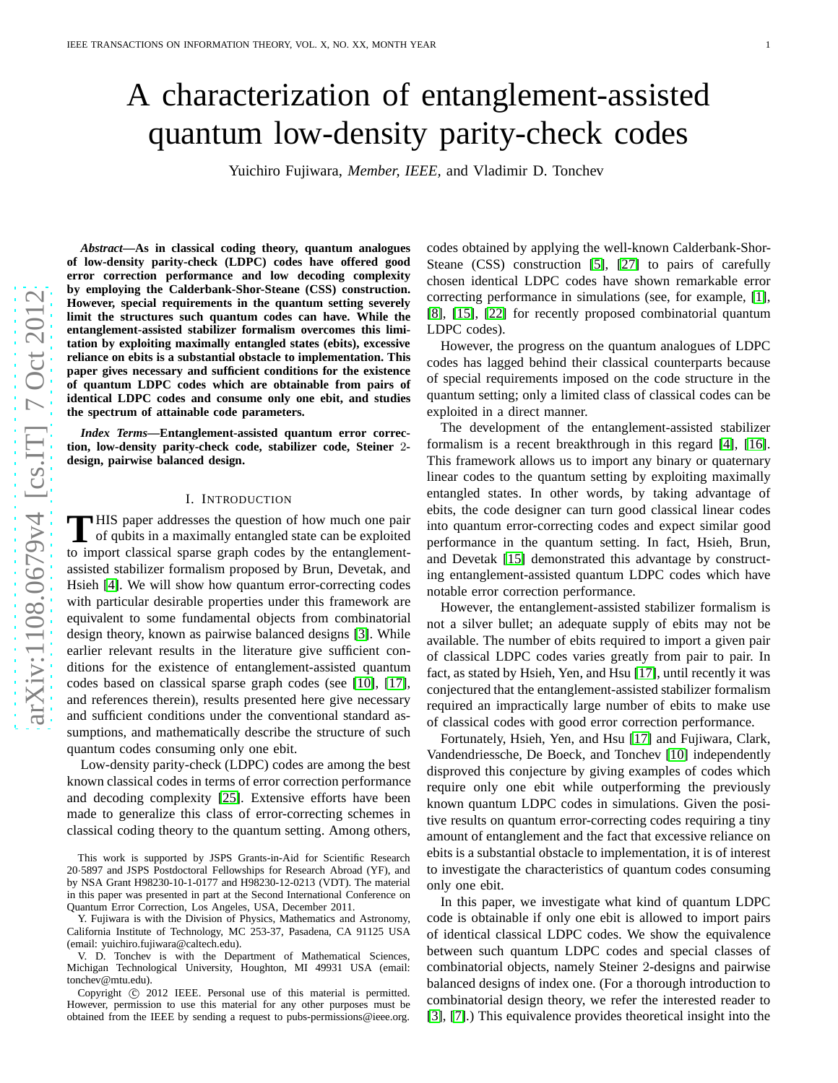# A characterization of entanglement-assisted quantum low-density parity-check codes

Yuichiro Fujiwara, *Member, IEEE,* and Vladimir D. Tonchev

*Abstract***—As in classical coding theory, quantum analogues of low-density parity-check (LDPC) codes have offered good error correction performance and low decoding complexity by employing the Calderbank-Shor-Steane (CSS) construction. However, special requirements in the quantum setting severely limit the structures such quantum codes can have. While the entanglement-assisted stabilizer formalism overcomes this limitation by exploiting maximally entangled states (ebits), excessive reliance on ebits is a substantial obstacle to implementation. This paper gives necessary and sufficient conditions for the existence of quantum LDPC codes which are obtainable from pairs of identical LDPC codes and consume only one ebit, and studies the spectrum of attainable code parameters.**

*Index Terms***—Entanglement-assisted quantum error correction, low-density parity-check code, stabilizer code, Steiner** 2 **design, pairwise balanced design.**

## I. INTRODUCTION

**T**HIS paper addresses the question of how much one pair of qubits in a maximally entangled state can be exploited **HIS** paper addresses the question of how much one pair to import classical sparse graph codes by the entanglementassisted stabilizer formalism proposed by Brun, Devetak, and Hsieh [\[4\]](#page-6-0). We will show how quantum error-correcting codes with particular desirable properties under this framework are equivalent to some fundamental objects from combinatorial design theory, known as pairwise balanced designs [\[3\]](#page-6-1). Whil e earlier relevant results in the literature give sufficient conditions for the existence of entanglement-assisted quantum codes based on classical sparse graph codes (see [\[10\]](#page-6-2), [\[17\]](#page-6-3), and references therein), results presented here give necessary and sufficient conditions under the conventional standard assumptions, and mathematically describe the structure of such quantum codes consuming only one ebit.

Low-density parity-check (LDPC) codes are among the best known classical codes in terms of error correction performance and decoding complexity [\[25\]](#page-6-4). Extensive efforts have been made to generalize this class of error-correcting schemes i n classical coding theory to the quantum setting. Among others,

This work is supported by JSPS Grants-in-Aid for Scientific Research 20 ·5897 and JSPS Postdoctoral Fellowships for Research Abroad (YF), and by NSA Grant H98230-10-1-0177 and H98230-12-0213 (VDT). The material in this paper was presented in part at the Second International Conference on Quantum Error Correction, Los Angeles, USA, December 2011.

Y. Fujiwara is with the Division of Physics, Mathematics and Astronomy, California Institute of Technology, MC 253-37, Pasadena, CA 91125 USA (email: yuichiro.fujiwara@caltech.edu).

V. D. Tonchev is with the Department of Mathematical Sciences, Michigan Technological University, Houghton, MI 49931 USA (email: tonchev@mtu.edu).

Copyright  $\odot$  2012 IEEE. Personal use of this material is permitted. However, permission to use this material for any other purposes must be obtained from the IEEE by sending a request to pubs-permissions@ieee.org.

codes obtained by applying the well-known Calderbank-Shor - Steane (CSS) construction [\[5\]](#page-6-5), [\[27\]](#page-6-6) to pairs of carefully chosen identical LDPC codes have shown remarkable error correcting performance in simulations (see, for example, [\[1\]](#page-6-7), [\[8\]](#page-6-8), [\[15\]](#page-6-9), [\[22\]](#page-6-10) for recently proposed combinatorial quantum LDPC codes).

However, the progress on the quantum analogues of LDPC codes has lagged behind their classical counterparts because of special requirements imposed on the code structure in the quantum setting; only a limited class of classical codes can be exploited in a direct manner.

The development of the entanglement-assisted stabilizer formalism is a recent breakthrough in this regard [\[4\]](#page-6-0), [\[16\]](#page-6-11). This framework allows us to import any binary or quaternary linear codes to the quantum setting by exploiting maximally entangled states. In other words, by taking advantage of ebits, the code designer can turn good classical linear code s into quantum error-correcting codes and expect similar goo d performance in the quantum setting. In fact, Hsieh, Brun, and Devetak [\[15\]](#page-6-9) demonstrated this advantage by constructing entanglement-assisted quantum LDPC codes which have notable error correction performance.

However, the entanglement-assisted stabilizer formalism is not a silver bullet; an adequate supply of ebits may not be available. The number of ebits required to import a given pair of classical LDPC codes varies greatly from pair to pair. In fact, as stated by Hsieh, Yen, and Hsu [\[17\]](#page-6-3), until recently it was conjectured that the entanglement-assisted stabilizer formalism required an impractically large number of ebits to make use of classical codes with good error correction performance.

Fortunately, Hsieh, Yen, and Hsu [\[17\]](#page-6-3) and Fujiwara, Clark, Vandendriessche, De Boeck, and Tonchev [\[10\]](#page-6-2) independently disproved this conjecture by giving examples of codes which require only one ebit while outperforming the previously known quantum LDPC codes in simulations. Given the positive results on quantum error-correcting codes requiring a tiny amount of entanglement and the fact that excessive reliance on ebits is a substantial obstacle to implementation, it is of interest to investigate the characteristics of quantum codes consuming only one ebit.

In this paper, we investigate what kind of quantum LDPC code is obtainable if only one ebit is allowed to import pairs of identical classical LDPC codes. We show the equivalence between such quantum LDPC codes and special classes of combinatorial objects, namely Steiner 2-designs and pairwise balanced designs of index one. (For a thorough introduction to combinatorial design theory, we refer the interested reader to [\[3\]](#page-6-1), [\[7\]](#page-6-12).) This equivalence provides theoretical insight into the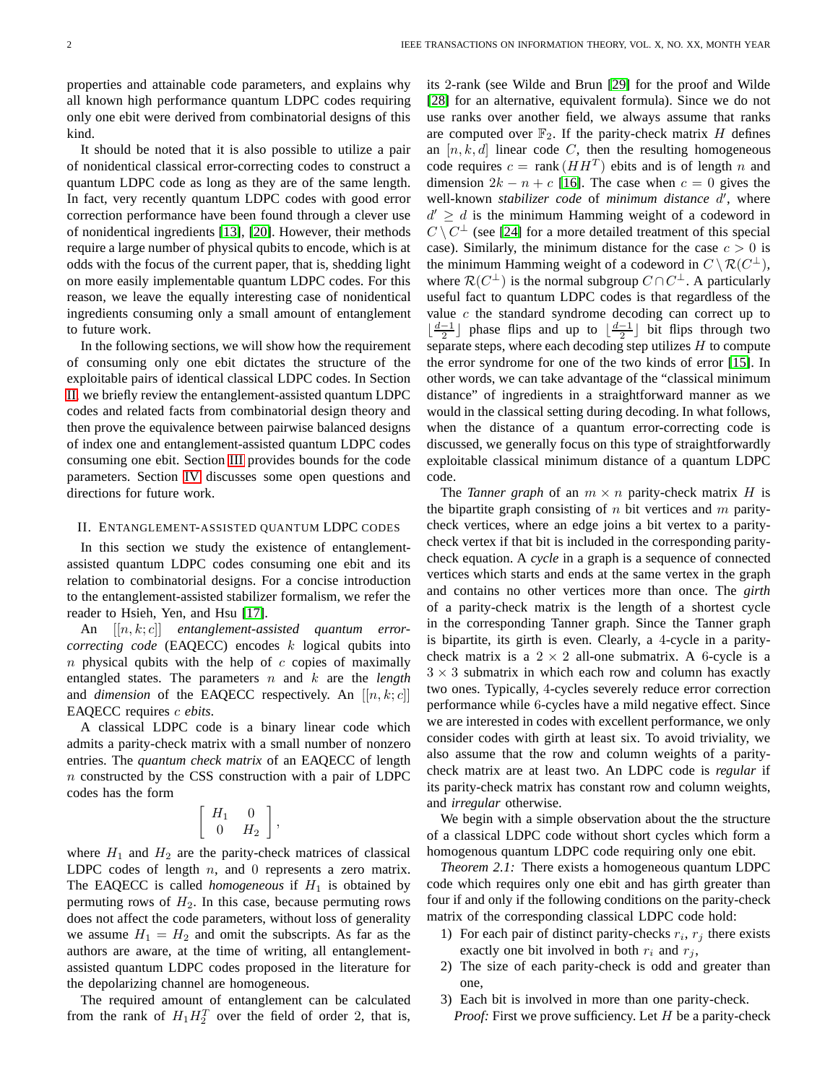properties and attainable code parameters, and explains why all known high performance quantum LDPC codes requiring only one ebit were derived from combinatorial designs of this kind.

It should be noted that it is also possible to utilize a pair of nonidentical classical error-correcting codes to construct a quantum LDPC code as long as they are of the same length. In fact, very recently quantum LDPC codes with good error correction performance have been found through a clever use of nonidentical ingredients [\[13\]](#page-6-13), [\[20\]](#page-6-14). However, their methods require a large number of physical qubits to encode, which is at odds with the focus of the current paper, that is, shedding light on more easily implementable quantum LDPC codes. For this reason, we leave the equally interesting case of nonidentical ingredients consuming only a small amount of entanglement to future work.

In the following sections, we will show how the requirement of consuming only one ebit dictates the structure of the exploitable pairs of identical classical LDPC codes. In Section [II,](#page-1-0) we briefly review the entanglement-assisted quantum LDPC codes and related facts from combinatorial design theory and then prove the equivalence between pairwise balanced designs of index one and entanglement-assisted quantum LDPC codes consuming one ebit. Section [III](#page-3-0) provides bounds for the code parameters. Section [IV](#page-5-0) discusses some open questions and directions for future work.

## <span id="page-1-0"></span>II. ENTANGLEMENT-ASSISTED QUANTUM LDPC CODES

In this section we study the existence of entanglementassisted quantum LDPC codes consuming one ebit and its relation to combinatorial designs. For a concise introduction to the entanglement-assisted stabilizer formalism, we refer the reader to Hsieh, Yen, and Hsu [\[17\]](#page-6-3).

An [[n, k; c]] *entanglement-assisted quantum errorcorrecting code* (EAQECC) encodes k logical qubits into  $n$  physical qubits with the help of  $c$  copies of maximally entangled states. The parameters n and k are the *length* and *dimension* of the EAQECC respectively. An  $[[n, k; c]]$ EAQECC requires c *ebits*.

A classical LDPC code is a binary linear code which admits a parity-check matrix with a small number of nonzero entries. The *quantum check matrix* of an EAQECC of length n constructed by the CSS construction with a pair of LDPC codes has the form

$$
\left[\begin{array}{cc} H_1 & 0 \\ 0 & H_2 \end{array}\right]
$$

,

where  $H_1$  and  $H_2$  are the parity-check matrices of classical LDPC codes of length  $n$ , and 0 represents a zero matrix. The EAQECC is called *homogeneous* if  $H_1$  is obtained by permuting rows of  $H_2$ . In this case, because permuting rows does not affect the code parameters, without loss of generality we assume  $H_1 = H_2$  and omit the subscripts. As far as the authors are aware, at the time of writing, all entanglementassisted quantum LDPC codes proposed in the literature for the depolarizing channel are homogeneous.

The required amount of entanglement can be calculated from the rank of  $H_1 H_2^T$  over the field of order 2, that is,

its 2-rank (see Wilde and Brun [\[29\]](#page-6-15) for the proof and Wilde [\[28\]](#page-6-16) for an alternative, equivalent formula). Since we do not use ranks over another field, we always assume that ranks are computed over  $\mathbb{F}_2$ . If the parity-check matrix H defines an  $[n, k, d]$  linear code C, then the resulting homogeneous code requires  $c = \text{rank}(HH^T)$  ebits and is of length n and dimension  $2k - n + c$  [\[16\]](#page-6-11). The case when  $c = 0$  gives the well-known *stabilizer code* of *minimum distance* d ′ , where  $d' \geq d$  is the minimum Hamming weight of a codeword in  $C \setminus C^{\perp}$  (see [\[24\]](#page-6-17) for a more detailed treatment of this special case). Similarly, the minimum distance for the case  $c > 0$  is the minimum Hamming weight of a codeword in  $C \setminus \mathcal{R}(C^{\perp}),$ where  $\mathcal{R}(C^{\perp})$  is the normal subgroup  $C \cap C^{\perp}$ . A particularly useful fact to quantum LDPC codes is that regardless of the value  $c$  the standard syndrome decoding can correct up to  $\lfloor \frac{d-1}{2} \rfloor$  phase flips and up to  $\lfloor \frac{d-1}{2} \rfloor$  bit flips through two separate steps, where each decoding step utilizes  $H$  to compute the error syndrome for one of the two kinds of error [\[15\]](#page-6-9). In other words, we can take advantage of the "classical minimum distance" of ingredients in a straightforward manner as we would in the classical setting during decoding. In what follows, when the distance of a quantum error-correcting code is discussed, we generally focus on this type of straightforwardly exploitable classical minimum distance of a quantum LDPC code.

The *Tanner graph* of an  $m \times n$  parity-check matrix H is the bipartite graph consisting of  $n$  bit vertices and  $m$  paritycheck vertices, where an edge joins a bit vertex to a paritycheck vertex if that bit is included in the corresponding paritycheck equation. A *cycle* in a graph is a sequence of connected vertices which starts and ends at the same vertex in the graph and contains no other vertices more than once. The *girth* of a parity-check matrix is the length of a shortest cycle in the corresponding Tanner graph. Since the Tanner graph is bipartite, its girth is even. Clearly, a 4-cycle in a paritycheck matrix is a  $2 \times 2$  all-one submatrix. A 6-cycle is a  $3 \times 3$  submatrix in which each row and column has exactly two ones. Typically, 4-cycles severely reduce error correction performance while 6-cycles have a mild negative effect. Since we are interested in codes with excellent performance, we only consider codes with girth at least six. To avoid triviality, we also assume that the row and column weights of a paritycheck matrix are at least two. An LDPC code is *regular* if its parity-check matrix has constant row and column weights, and *irregular* otherwise.

We begin with a simple observation about the the structure of a classical LDPC code without short cycles which form a homogenous quantum LDPC code requiring only one ebit.

<span id="page-1-1"></span>*Theorem 2.1:* There exists a homogeneous quantum LDPC code which requires only one ebit and has girth greater than four if and only if the following conditions on the parity-check matrix of the corresponding classical LDPC code hold:

- 1) For each pair of distinct parity-checks  $r_i$ ,  $r_j$  there exists exactly one bit involved in both  $r_i$  and  $r_j$ ,
- 2) The size of each parity-check is odd and greater than one,
- 3) Each bit is involved in more than one parity-check. *Proof:* First we prove sufficiency. Let H be a parity-check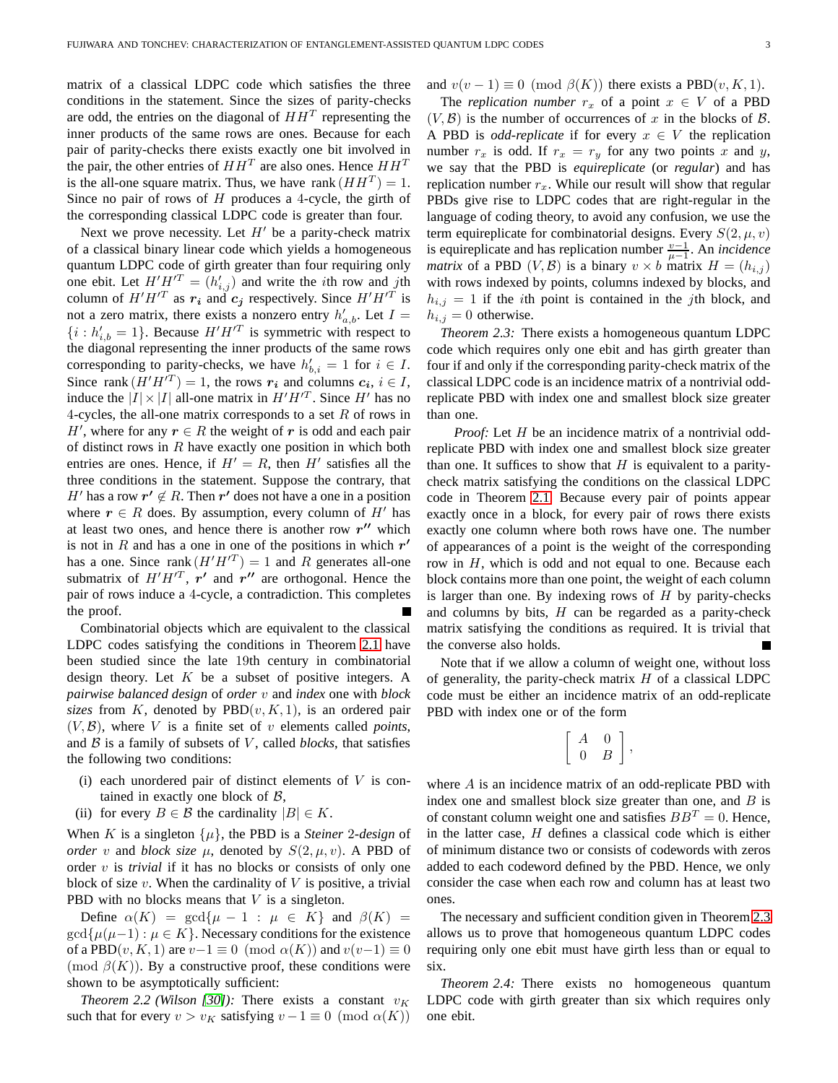matrix of a classical LDPC code which satisfies the three conditions in the statement. Since the sizes of parity-checks are odd, the entries on the diagonal of  $HH<sup>T</sup>$  representing the inner products of the same rows are ones. Because for each pair of parity-checks there exists exactly one bit involved in the pair, the other entries of  $HH^T$  are also ones. Hence  $HH^T$ is the all-one square matrix. Thus, we have rank  $(HH<sup>T</sup>) = 1$ . Since no pair of rows of  $H$  produces a 4-cycle, the girth of the corresponding classical LDPC code is greater than four.

Next we prove necessity. Let  $H'$  be a parity-check matrix of a classical binary linear code which yields a homogeneous quantum LDPC code of girth greater than four requiring only one ebit. Let  $H'H'^T = (h'_{i,j})$  and write the *i*th row and *j*th column of  $H'H'^T$  as  $r_i$  and  $c_j$  respectively. Since  $H'H'^T$  is not a zero matrix, there exists a nonzero entry  $h'_{a,b}$ . Let  $I =$  $\{i : h'_{i,b} = 1\}$ . Because  $H' H'^T$  is symmetric with respect to the diagonal representing the inner products of the same rows corresponding to parity-checks, we have  $h'_{b,i} = 1$  for  $i \in I$ . Since rank  $(H'H'^T) = 1$ , the rows  $r_i$  and columns  $c_i$ ,  $i \in I$ , induce the  $|I| \times |I|$  all-one matrix in  $H'H'^T$ . Since  $H'$  has no 4-cycles, the all-one matrix corresponds to a set  $R$  of rows in H', where for any  $r \in R$  the weight of r is odd and each pair of distinct rows in  $R$  have exactly one position in which both entries are ones. Hence, if  $H' = R$ , then  $H'$  satisfies all the three conditions in the statement. Suppose the contrary, that  $H'$  has a row  $r' \notin R$ . Then  $r'$  does not have a one in a position where  $r \in R$  does. By assumption, every column of H' has at least two ones, and hence there is another row  $r''$  which is not in R and has a one in one of the positions in which  $r'$ has a one. Since rank  $(H' H'^T) = 1$  and R generates all-one submatrix of  $H'H'^T$ ,  $r'$  and  $r''$  are orthogonal. Hence the pair of rows induce a 4-cycle, a contradiction. This completes the proof.

Combinatorial objects which are equivalent to the classical LDPC codes satisfying the conditions in Theorem [2.1](#page-1-1) have been studied since the late 19th century in combinatorial design theory. Let  $K$  be a subset of positive integers. A *pairwise balanced design* of *order* v and *index* one with *block sizes* from K, denoted by  $PBD(v, K, 1)$ , is an ordered pair  $(V, \mathcal{B})$ , where V is a finite set of v elements called *points*, and  $\beta$  is a family of subsets of  $V$ , called *blocks*, that satisfies the following two conditions:

- (i) each unordered pair of distinct elements of  $V$  is contained in exactly one block of  $\beta$ ,
- (ii) for every  $B \in \mathcal{B}$  the cardinality  $|B| \in K$ .

When K is a singleton  $\{\mu\}$ , the PBD is a *Steiner* 2-*design* of *order* v and *block size*  $\mu$ , denoted by  $S(2, \mu, v)$ . A PBD of order v is *trivial* if it has no blocks or consists of only one block of size v. When the cardinality of  $V$  is positive, a trivial PBD with no blocks means that  $V$  is a singleton.

Define  $\alpha(K) = \gcd\{\mu - 1 : \mu \in K\}$  and  $\beta(K) =$  $\gcd\{\mu(\mu-1): \mu \in K\}$ . Necessary conditions for the existence of a PBD(v, K, 1) are  $v-1 \equiv 0 \pmod{\alpha(K)}$  and  $v(v-1) \equiv 0$  $p(\mod{\beta(K)})$ . By a constructive proof, these conditions were shown to be asymptotically sufficient:

*Theorem 2.2 (Wilson [\[30\]](#page-6-18)):* There exists a constant  $v_K$ such that for every  $v > v_K$  satisfying  $v - 1 \equiv 0 \pmod{\alpha(K)}$  and  $v(v-1) \equiv 0 \pmod{\beta(K)}$  there exists a PBD $(v, K, 1)$ .

The *replication number*  $r_x$  of a point  $x \in V$  of a PBD  $(V, \mathcal{B})$  is the number of occurrences of x in the blocks of  $\mathcal{B}$ . A PBD is *odd-replicate* if for every  $x \in V$  the replication number  $r_x$  is odd. If  $r_x = r_y$  for any two points x and y, we say that the PBD is *equireplicate* (or *regular*) and has replication number  $r<sub>x</sub>$ . While our result will show that regular PBDs give rise to LDPC codes that are right-regular in the language of coding theory, to avoid any confusion, we use the term equireplicate for combinatorial designs. Every  $S(2, \mu, v)$ is equireplicate and has replication number  $\frac{v-1}{\mu-1}$ . An *incidence matrix* of a PBD  $(V, \mathcal{B})$  is a binary  $v \times b$  matrix  $H = (h_{i,j})$ with rows indexed by points, columns indexed by blocks, and  $h_{i,j} = 1$  if the *i*th point is contained in the *j*th block, and  $h_{i,j} = 0$  otherwise.

<span id="page-2-0"></span>*Theorem 2.3:* There exists a homogeneous quantum LDPC code which requires only one ebit and has girth greater than four if and only if the corresponding parity-check matrix of the classical LDPC code is an incidence matrix of a nontrivial oddreplicate PBD with index one and smallest block size greater than one.

*Proof:* Let H be an incidence matrix of a nontrivial oddreplicate PBD with index one and smallest block size greater than one. It suffices to show that  $H$  is equivalent to a paritycheck matrix satisfying the conditions on the classical LDPC code in Theorem [2.1.](#page-1-1) Because every pair of points appear exactly once in a block, for every pair of rows there exists exactly one column where both rows have one. The number of appearances of a point is the weight of the corresponding row in  $H$ , which is odd and not equal to one. Because each block contains more than one point, the weight of each column is larger than one. By indexing rows of  $H$  by parity-checks and columns by bits,  $H$  can be regarded as a parity-check matrix satisfying the conditions as required. It is trivial that the converse also holds.

Note that if we allow a column of weight one, without loss of generality, the parity-check matrix  $H$  of a classical LDPC code must be either an incidence matrix of an odd-replicate PBD with index one or of the form

$$
\left[\begin{array}{cc} A & 0 \\ 0 & B \end{array}\right],
$$

where A is an incidence matrix of an odd-replicate PBD with index one and smallest block size greater than one, and  $B$  is of constant column weight one and satisfies  $BB<sup>T</sup> = 0$ . Hence, in the latter case,  $H$  defines a classical code which is either of minimum distance two or consists of codewords with zeros added to each codeword defined by the PBD. Hence, we only consider the case when each row and column has at least two ones.

The necessary and sufficient condition given in Theorem [2.3](#page-2-0) allows us to prove that homogeneous quantum LDPC codes requiring only one ebit must have girth less than or equal to six.

<span id="page-2-1"></span>*Theorem 2.4:* There exists no homogeneous quantum LDPC code with girth greater than six which requires only one ebit.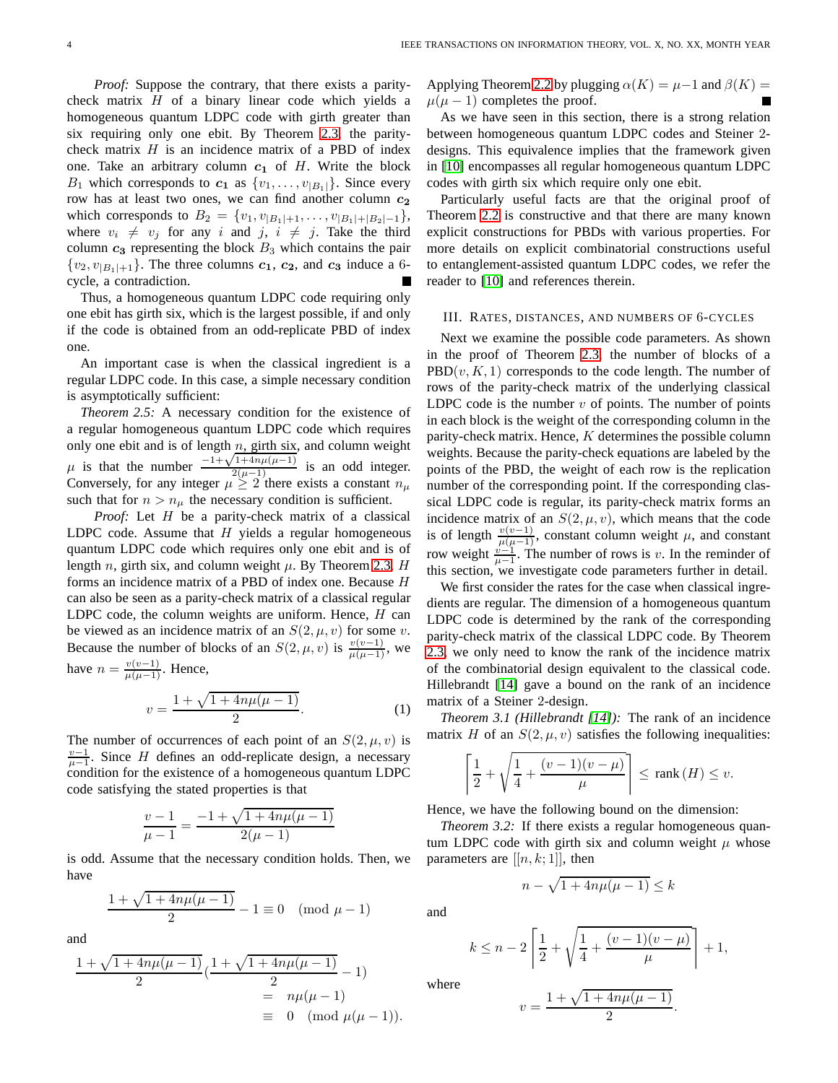*Proof:* Suppose the contrary, that there exists a paritycheck matrix  $H$  of a binary linear code which yields a homogeneous quantum LDPC code with girth greater than six requiring only one ebit. By Theorem [2.3,](#page-2-0) the paritycheck matrix  $H$  is an incidence matrix of a PBD of index one. Take an arbitrary column  $c_1$  of H. Write the block  $B_1$  which corresponds to  $c_1$  as  $\{v_1, \ldots, v_{|B_1|}\}\)$ . Since every row has at least two ones, we can find another column  $c_2$ which corresponds to  $B_2 = \{v_1, v_{|B_1|+1}, \ldots, v_{|B_1|+|B_2|-1}\},$ where  $v_i \neq v_j$  for any i and j,  $i \neq j$ . Take the third column  $c_3$  representing the block  $B_3$  which contains the pair  $\{v_2, v_{|B_1|+1}\}.$  The three columns  $c_1, c_2$ , and  $c_3$  induce a 6cycle, a contradiction.

Thus, a homogeneous quantum LDPC code requiring only one ebit has girth six, which is the largest possible, if and only if the code is obtained from an odd-replicate PBD of index one.

An important case is when the classical ingredient is a regular LDPC code. In this case, a simple necessary condition is asymptotically sufficient:

*Theorem 2.5:* A necessary condition for the existence of a regular homogeneous quantum LDPC code which requires only one ebit and is of length  $n$ , girth six, and column weight  $μ$  is that the number  $\frac{-1+\sqrt{1+4nμ(μ-1)}}{2(n-1)}$  is an odd integer. Conversely, for any integer  $\mu \geq 2$  there exists a constant  $n_{\mu}$ such that for  $n > n<sub>\mu</sub>$  the necessary condition is sufficient.

*Proof:* Let H be a parity-check matrix of a classical LDPC code. Assume that  $H$  yields a regular homogeneous quantum LDPC code which requires only one ebit and is of length n, girth six, and column weight  $\mu$ . By Theorem [2.3,](#page-2-0) H forms an incidence matrix of a PBD of index one. Because H can also be seen as a parity-check matrix of a classical regular LDPC code, the column weights are uniform. Hence,  $H$  can be viewed as an incidence matrix of an  $S(2, \mu, v)$  for some v. Because the number of blocks of an  $S(2, \mu, v)$  is  $\frac{v(v-1)}{\mu(\mu-1)}$ , we have  $n = \frac{v(v-1)}{\mu(\mu-1)}$ . Hence,

<span id="page-3-1"></span>
$$
v = \frac{1 + \sqrt{1 + 4n\mu(\mu - 1)}}{2}.
$$
 (1)

The number of occurrences of each point of an  $S(2, \mu, v)$  is  $\frac{v-1}{\mu-1}$ . Since *H* defines an odd-replicate design, a necessary condition for the existence of a homogeneous quantum LDPC code satisfying the stated properties is that

$$
\frac{\nu - 1}{\mu - 1} = \frac{-1 + \sqrt{1 + 4n\mu(\mu - 1)}}{2(\mu - 1)}
$$

is odd. Assume that the necessary condition holds. Then, we have

$$
\frac{1 + \sqrt{1 + 4n\mu(\mu - 1)}}{2} - 1 \equiv 0 \pmod{\mu - 1}
$$

and

$$
\frac{1 + \sqrt{1 + 4n\mu(\mu - 1)}}{2} \left( \frac{1 + \sqrt{1 + 4n\mu(\mu - 1)}}{2} - 1 \right)
$$
  
=  $n\mu(\mu - 1)$   
= 0 (mod  $\mu(\mu - 1)$ ).

Applying Theorem [2.2](#page-2-1) by plugging  $\alpha(K) = \mu - 1$  and  $\beta(K) =$  $\mu(\mu - 1)$  completes the proof.

As we have seen in this section, there is a strong relation between homogeneous quantum LDPC codes and Steiner 2 designs. This equivalence implies that the framework given in [\[10\]](#page-6-2) encompasses all regular homogeneous quantum LDPC codes with girth six which require only one ebit.

Particularly useful facts are that the original proof of Theorem [2.2](#page-2-1) is constructive and that there are many known explicit constructions for PBDs with various properties. For more details on explicit combinatorial constructions useful to entanglement-assisted quantum LDPC codes, we refer the reader to [\[10\]](#page-6-2) and references therein.

### <span id="page-3-0"></span>III. RATES, DISTANCES, AND NUMBERS OF 6-CYCLES

Next we examine the possible code parameters. As shown in the proof of Theorem [2.3,](#page-2-0) the number of blocks of a  $PBD(v, K, 1)$  corresponds to the code length. The number of rows of the parity-check matrix of the underlying classical LDPC code is the number  $v$  of points. The number of points in each block is the weight of the corresponding column in the parity-check matrix. Hence,  $K$  determines the possible column weights. Because the parity-check equations are labeled by the points of the PBD, the weight of each row is the replication number of the corresponding point. If the corresponding classical LDPC code is regular, its parity-check matrix forms an incidence matrix of an  $S(2, \mu, v)$ , which means that the code is of length  $\frac{v(v-1)}{\mu(\mu-1)}$ , constant column weight  $\mu$ , and constant row weight  $\frac{v-1}{\mu-1}$ . The number of rows is v. In the reminder of this section, we investigate code parameters further in detail.

We first consider the rates for the case when classical ingredients are regular. The dimension of a homogeneous quantum LDPC code is determined by the rank of the corresponding parity-check matrix of the classical LDPC code. By Theorem [2.3,](#page-2-0) we only need to know the rank of the incidence matrix of the combinatorial design equivalent to the classical code. Hillebrandt [\[14\]](#page-6-19) gave a bound on the rank of an incidence matrix of a Steiner 2-design.

*Theorem 3.1 (Hillebrandt [\[14\]](#page-6-19)):* The rank of an incidence matrix H of an  $S(2, \mu, v)$  satisfies the following inequalities:

<span id="page-3-2"></span>
$$
\left\lceil \frac{1}{2} + \sqrt{\frac{1}{4} + \frac{(v-1)(v-\mu)}{\mu}} \right\rceil \le \text{rank}(H) \le v.
$$

Hence, we have the following bound on the dimension:

*Theorem 3.2:* If there exists a regular homogeneous quantum LDPC code with girth six and column weight  $\mu$  whose parameters are  $[[n, k; 1]]$ , then

$$
n - \sqrt{1 + 4n\mu(\mu - 1)} \le k
$$

$$
k \le n - 2\left[\frac{1}{2} + \sqrt{\frac{1}{4} + \frac{(v-1)(v-\mu)}{\mu}}\right] + 1,
$$

where

and

$$
v = \frac{1 + \sqrt{1 + 4n\mu(\mu - 1)}}{2}
$$

<span id="page-3-3"></span>.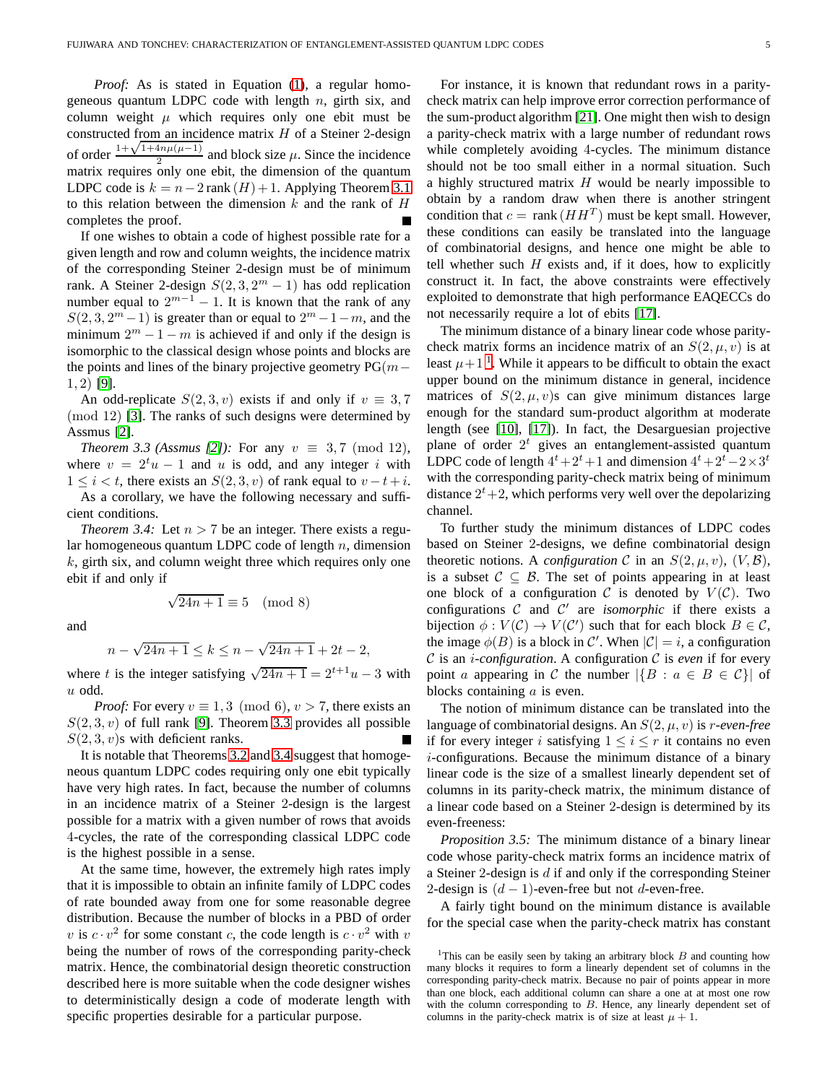*Proof:* As is stated in Equation [\(1\)](#page-3-1), a regular homogeneous quantum LDPC code with length  $n$ , girth six, and column weight  $\mu$  which requires only one ebit must be constructed from an incidence matrix  $H$  of a Steiner 2-design of order  $\frac{1+\sqrt{1+4n\mu(\mu-1)}}{2}$  and block size  $\mu$ . Since the incidence matrix requires only one ebit, the dimension of the quantum LDPC code is  $k = n - 2$  rank  $(H) + 1$ . Applying Theorem [3.1](#page-3-2) to this relation between the dimension  $k$  and the rank of  $H$ completes the proof.

If one wishes to obtain a code of highest possible rate for a given length and row and column weights, the incidence matrix of the corresponding Steiner 2-design must be of minimum rank. A Steiner 2-design  $S(2,3,2^m-1)$  has odd replication number equal to  $2^{m-1} - 1$ . It is known that the rank of any  $S(2,3,2^m-1)$  is greater than or equal to  $2^m-1-m$ , and the minimum  $2^m - 1 - m$  is achieved if and only if the design is isomorphic to the classical design whose points and blocks are the points and lines of the binary projective geometry  $PG(m-$ 1, 2) [\[9\]](#page-6-20).

An odd-replicate  $S(2,3, v)$  exists if and only if  $v \equiv 3, 7$ (mod 12) [\[3\]](#page-6-1). The ranks of such designs were determined by Assmus [\[2\]](#page-6-21).

<span id="page-4-0"></span>*Theorem 3.3 (Assmus [\[2\]](#page-6-21)):* For any  $v \equiv 3.7 \pmod{12}$ , where  $v = 2<sup>t</sup>u - 1$  and u is odd, and any integer i with  $1 \leq i < t$ , there exists an  $S(2, 3, v)$  of rank equal to  $v - t + i$ . As a corollary, we have the following necessary and sufficient conditions.

<span id="page-4-1"></span>*Theorem 3.4:* Let  $n > 7$  be an integer. There exists a regular homogeneous quantum LDPC code of length  $n$ , dimension  $k$ , girth six, and column weight three which requires only one ebit if and only if

and

$$
n - \sqrt{24n + 1} \le k \le n - \sqrt{24n + 1} + 2t - 2,
$$

 $\sqrt{24n+1} \equiv 5 \pmod{8}$ 

where t is the integer satisfying  $\sqrt{24n+1} = 2^{t+1}u - 3$  with u odd.

*Proof:* For every  $v \equiv 1, 3 \pmod{6}$ ,  $v > 7$ , there exists an  $S(2, 3, v)$  of full rank [\[9\]](#page-6-20). Theorem [3.3](#page-4-0) provides all possible  $S(2,3, v)$ s with deficient ranks.

It is notable that Theorems [3.2](#page-3-3) and [3.4](#page-4-1) suggest that homogeneous quantum LDPC codes requiring only one ebit typically have very high rates. In fact, because the number of columns in an incidence matrix of a Steiner 2-design is the largest possible for a matrix with a given number of rows that avoids 4-cycles, the rate of the corresponding classical LDPC code is the highest possible in a sense.

At the same time, however, the extremely high rates imply that it is impossible to obtain an infinite family of LDPC codes of rate bounded away from one for some reasonable degree distribution. Because the number of blocks in a PBD of order v is  $c \cdot v^2$  for some constant c, the code length is  $c \cdot v^2$  with v being the number of rows of the corresponding parity-check matrix. Hence, the combinatorial design theoretic construction described here is more suitable when the code designer wishes to deterministically design a code of moderate length with specific properties desirable for a particular purpose.

For instance, it is known that redundant rows in a paritycheck matrix can help improve error correction performance of the sum-product algorithm [\[21\]](#page-6-22). One might then wish to design a parity-check matrix with a large number of redundant rows while completely avoiding 4-cycles. The minimum distance should not be too small either in a normal situation. Such a highly structured matrix  $H$  would be nearly impossible to obtain by a random draw when there is another stringent condition that  $c = \text{rank}(HH^T)$  must be kept small. However, these conditions can easily be translated into the language of combinatorial designs, and hence one might be able to tell whether such  $H$  exists and, if it does, how to explicitly construct it. In fact, the above constraints were effectively exploited to demonstrate that high performance EAQECCs do not necessarily require a lot of ebits [\[17\]](#page-6-3).

The minimum distance of a binary linear code whose paritycheck matrix forms an incidence matrix of an  $S(2, \mu, v)$  is at least  $\mu+1$  $\mu+1$ <sup>1</sup>. While it appears to be difficult to obtain the exact upper bound on the minimum distance in general, incidence matrices of  $S(2, \mu, v)$ s can give minimum distances large enough for the standard sum-product algorithm at moderate length (see [\[10\]](#page-6-2), [\[17\]](#page-6-3)). In fact, the Desarguesian projective plane of order  $2<sup>t</sup>$  gives an entanglement-assisted quantum LDPC code of length  $4^t + 2^t + 1$  and dimension  $4^t + 2^t - 2 \times 3^t$ with the corresponding parity-check matrix being of minimum distance  $2^t + 2$ , which performs very well over the depolarizing channel.

To further study the minimum distances of LDPC codes based on Steiner 2-designs, we define combinatorial design theoretic notions. A *configuration* C in an  $S(2, \mu, v)$ ,  $(V, \mathcal{B})$ , is a subset  $C \subseteq B$ . The set of points appearing in at least one block of a configuration  $\mathcal C$  is denoted by  $V(\mathcal C)$ . Two configurations  $C$  and  $C'$  are *isomorphic* if there exists a bijection  $\phi: V(C) \to V(C')$  such that for each block  $B \in C$ , the image  $\phi(B)$  is a block in C'. When  $|C| = i$ , a configuration  $C$  is an *i*-configuration. A configuration  $C$  is *even* if for every point a appearing in C the number  $|\{B : a \in B \in C\}|$  of blocks containing  $a$  is even.

The notion of minimum distance can be translated into the language of combinatorial designs. An S(2, µ, v) is r*-even-free* if for every integer i satisfying  $1 \le i \le r$  it contains no even i-configurations. Because the minimum distance of a binary linear code is the size of a smallest linearly dependent set of columns in its parity-check matrix, the minimum distance of a linear code based on a Steiner 2-design is determined by its even-freeness:

*Proposition 3.5:* The minimum distance of a binary linear code whose parity-check matrix forms an incidence matrix of a Steiner 2-design is d if and only if the corresponding Steiner 2-design is  $(d-1)$ -even-free but not d-even-free.

A fairly tight bound on the minimum distance is available for the special case when the parity-check matrix has constant

<span id="page-4-2"></span><sup>&</sup>lt;sup>1</sup>This can be easily seen by taking an arbitrary block  $B$  and counting how many blocks it requires to form a linearly dependent set of columns in the corresponding parity-check matrix. Because no pair of points appear in more than one block, each additional column can share a one at at most one row with the column corresponding to B. Hence, any linearly dependent set of columns in the parity-check matrix is of size at least  $\mu + 1$ .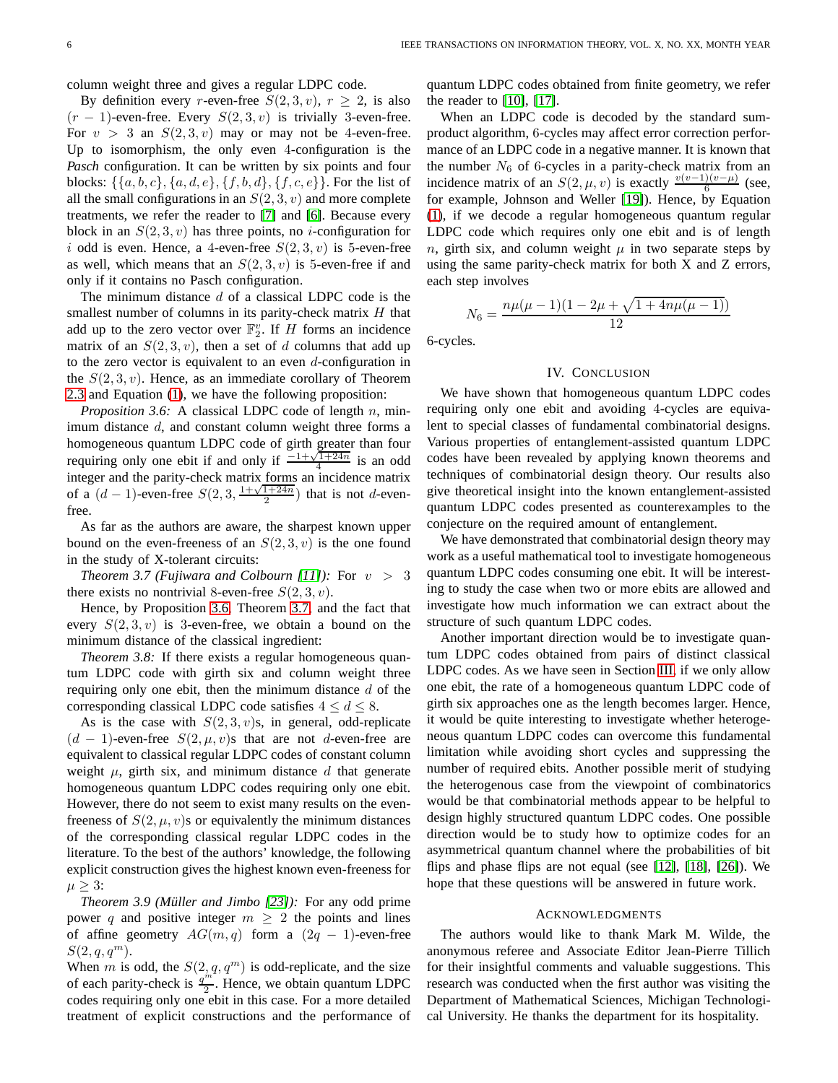column weight three and gives a regular LDPC code.

By definition every r-even-free  $S(2,3, v)$ ,  $r \ge 2$ , is also  $(r - 1)$ -even-free. Every  $S(2, 3, v)$  is trivially 3-even-free. For  $v > 3$  an  $S(2, 3, v)$  may or may not be 4-even-free. Up to isomorphism, the only even 4-configuration is the *Pasch* configuration. It can be written by six points and four blocks:  $\{\{a, b, c\}, \{a, d, e\}, \{f, b, d\}, \{f, c, e\}\}\$ . For the list of all the small configurations in an  $S(2, 3, v)$  and more complete treatments, we refer the reader to [\[7\]](#page-6-12) and [\[6\]](#page-6-23). Because every block in an  $S(2, 3, v)$  has three points, no *i*-configuration for i odd is even. Hence, a 4-even-free  $S(2,3, v)$  is 5-even-free as well, which means that an  $S(2,3, v)$  is 5-even-free if and only if it contains no Pasch configuration.

The minimum distance  $d$  of a classical LDPC code is the smallest number of columns in its parity-check matrix  $H$  that add up to the zero vector over  $\mathbb{F}_2^v$ . If H forms an incidence matrix of an  $S(2,3, v)$ , then a set of d columns that add up to the zero vector is equivalent to an even  $d$ -configuration in the  $S(2, 3, v)$ . Hence, as an immediate corollary of Theorem [2.3](#page-2-0) and Equation [\(1\)](#page-3-1), we have the following proposition:

<span id="page-5-1"></span>*Proposition 3.6:* A classical LDPC code of length n, minimum distance d, and constant column weight three forms a homogeneous quantum LDPC code of girth greater than four requiring only one ebit if and only if  $\frac{-1+\sqrt{1+24n}}{4}$  is an odd integer and the parity-check matrix forms an incidence matrix of a  $(d-1)$ -even-free  $S(2, 3, \frac{1+\sqrt{1+24n}}{2})$  that is not *d*-evenfree.

As far as the authors are aware, the sharpest known upper bound on the even-freeness of an  $S(2,3, v)$  is the one found in the study of X-tolerant circuits:

*Theorem 3.7 (Fujiwara and Colbourn [\[11\]](#page-6-24)):* For  $v > 3$ there exists no nontrivial 8-even-free  $S(2,3, v)$ .

Hence, by Proposition [3.6,](#page-5-1) Theorem [3.7,](#page-5-2) and the fact that every  $S(2,3, v)$  is 3-even-free, we obtain a bound on the minimum distance of the classical ingredient:

*Theorem 3.8:* If there exists a regular homogeneous quantum LDPC code with girth six and column weight three requiring only one ebit, then the minimum distance  $d$  of the corresponding classical LDPC code satisfies  $4 \le d \le 8$ .

As is the case with  $S(2,3, v)$ s, in general, odd-replicate  $(d - 1)$ -even-free  $S(2, \mu, v)$  that are not d-even-free are equivalent to classical regular LDPC codes of constant column weight  $\mu$ , girth six, and minimum distance d that generate homogeneous quantum LDPC codes requiring only one ebit. However, there do not seem to exist many results on the evenfreeness of  $S(2, \mu, v)$ s or equivalently the minimum distances of the corresponding classical regular LDPC codes in the literature. To the best of the authors' knowledge, the following explicit construction gives the highest known even-freeness for  $\mu \geq 3$ :

*Theorem 3.9 (Muller and Jimbo [\[23\]](#page-6-25)): ¨* For any odd prime power q and positive integer  $m \geq 2$  the points and lines of affine geometry  $AG(m, q)$  form a  $(2q - 1)$ -even-free  $S(2, q, q^m)$ .

When m is odd, the  $S(2, q, q^m)$  is odd-replicate, and the size of each parity-check is  $\frac{q_{m+1}^{(n+1)}(q_{m+2}^{(n+1)})}{2}$ . Hence, we obtain quantum LDPC codes requiring only one ebit in this case. For a more detailed treatment of explicit constructions and the performance of quantum LDPC codes obtained from finite geometry, we refer the reader to [\[10\]](#page-6-2), [\[17\]](#page-6-3).

When an LDPC code is decoded by the standard sumproduct algorithm, 6-cycles may affect error correction performance of an LDPC code in a negative manner. It is known that the number  $N_6$  of 6-cycles in a parity-check matrix from an incidence matrix of an  $S(2, \mu, v)$  is exactly  $\frac{v(v-1)(v-\mu)}{6}$  (see, for example, Johnson and Weller [\[19\]](#page-6-26)). Hence, by Equation [\(1\)](#page-3-1), if we decode a regular homogeneous quantum regular LDPC code which requires only one ebit and is of length n, girth six, and column weight  $\mu$  in two separate steps by using the same parity-check matrix for both X and Z errors, each step involves

$$
N_6 = \frac{n\mu(\mu - 1)(1 - 2\mu + \sqrt{1 + 4n\mu(\mu - 1)})}{12}
$$

<span id="page-5-0"></span>6-cycles.

## IV. CONCLUSION

We have shown that homogeneous quantum LDPC codes requiring only one ebit and avoiding 4-cycles are equivalent to special classes of fundamental combinatorial designs. Various properties of entanglement-assisted quantum LDPC codes have been revealed by applying known theorems and techniques of combinatorial design theory. Our results also give theoretical insight into the known entanglement-assisted quantum LDPC codes presented as counterexamples to the conjecture on the required amount of entanglement.

<span id="page-5-2"></span>We have demonstrated that combinatorial design theory may work as a useful mathematical tool to investigate homogeneous quantum LDPC codes consuming one ebit. It will be interesting to study the case when two or more ebits are allowed and investigate how much information we can extract about the structure of such quantum LDPC codes.

Another important direction would be to investigate quantum LDPC codes obtained from pairs of distinct classical LDPC codes. As we have seen in Section [III,](#page-3-0) if we only allow one ebit, the rate of a homogeneous quantum LDPC code of girth six approaches one as the length becomes larger. Hence, it would be quite interesting to investigate whether heterogeneous quantum LDPC codes can overcome this fundamental limitation while avoiding short cycles and suppressing the number of required ebits. Another possible merit of studying the heterogenous case from the viewpoint of combinatorics would be that combinatorial methods appear to be helpful to design highly structured quantum LDPC codes. One possible direction would be to study how to optimize codes for an asymmetrical quantum channel where the probabilities of bit flips and phase flips are not equal (see [\[12\]](#page-6-27), [\[18\]](#page-6-28), [\[26\]](#page-6-29)). We hope that these questions will be answered in future work.

### ACKNOWLEDGMENTS

The authors would like to thank Mark M. Wilde, the anonymous referee and Associate Editor Jean-Pierre Tillich for their insightful comments and valuable suggestions. This research was conducted when the first author was visiting the Department of Mathematical Sciences, Michigan Technological University. He thanks the department for its hospitality.